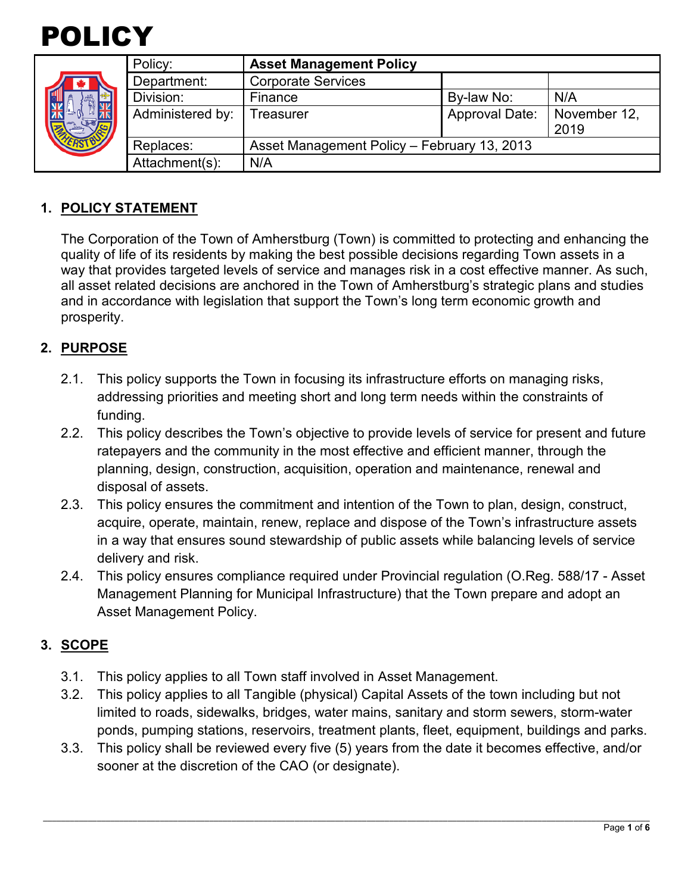



| Policy:          | <b>Asset Management Policy</b>              |                |                      |
|------------------|---------------------------------------------|----------------|----------------------|
| Department:      | <b>Corporate Services</b>                   |                |                      |
| Division:        | Finance                                     | By-law No:     | N/A                  |
| Administered by: | <b>Treasurer</b>                            | Approval Date: | November 12,<br>2019 |
| Replaces:        | Asset Management Policy - February 13, 2013 |                |                      |
| Attachment(s):   | N/A                                         |                |                      |

## **1. POLICY STATEMENT**

The Corporation of the Town of Amherstburg (Town) is committed to protecting and enhancing the quality of life of its residents by making the best possible decisions regarding Town assets in a way that provides targeted levels of service and manages risk in a cost effective manner. As such, all asset related decisions are anchored in the Town of Amherstburg's strategic plans and studies and in accordance with legislation that support the Town's long term economic growth and prosperity.

## **2. PURPOSE**

- 2.1. This policy supports the Town in focusing its infrastructure efforts on managing risks, addressing priorities and meeting short and long term needs within the constraints of funding.
- 2.2. This policy describes the Town's objective to provide levels of service for present and future ratepayers and the community in the most effective and efficient manner, through the planning, design, construction, acquisition, operation and maintenance, renewal and disposal of assets.
- 2.3. This policy ensures the commitment and intention of the Town to plan, design, construct, acquire, operate, maintain, renew, replace and dispose of the Town's infrastructure assets in a way that ensures sound stewardship of public assets while balancing levels of service delivery and risk.
- 2.4. This policy ensures compliance required under Provincial regulation (O.Reg. 588/17 Asset Management Planning for Municipal Infrastructure) that the Town prepare and adopt an Asset Management Policy.

## **3. SCOPE**

- 3.1. This policy applies to all Town staff involved in Asset Management.
- 3.2. This policy applies to all Tangible (physical) Capital Assets of the town including but not limited to roads, sidewalks, bridges, water mains, sanitary and storm sewers, storm-water ponds, pumping stations, reservoirs, treatment plants, fleet, equipment, buildings and parks.
- 3.3. This policy shall be reviewed every five (5) years from the date it becomes effective, and/or sooner at the discretion of the CAO (or designate).

\_\_\_\_\_\_\_\_\_\_\_\_\_\_\_\_\_\_\_\_\_\_\_\_\_\_\_\_\_\_\_\_\_\_\_\_\_\_\_\_\_\_\_\_\_\_\_\_\_\_\_\_\_\_\_\_\_\_\_\_\_\_\_\_\_\_\_\_\_\_\_\_\_\_\_\_\_\_\_\_\_\_\_\_\_\_\_\_\_\_\_\_\_\_\_\_\_\_\_\_\_\_\_\_\_\_\_\_\_\_\_\_\_\_\_\_\_\_\_\_\_\_\_\_\_\_\_\_\_\_\_\_\_\_\_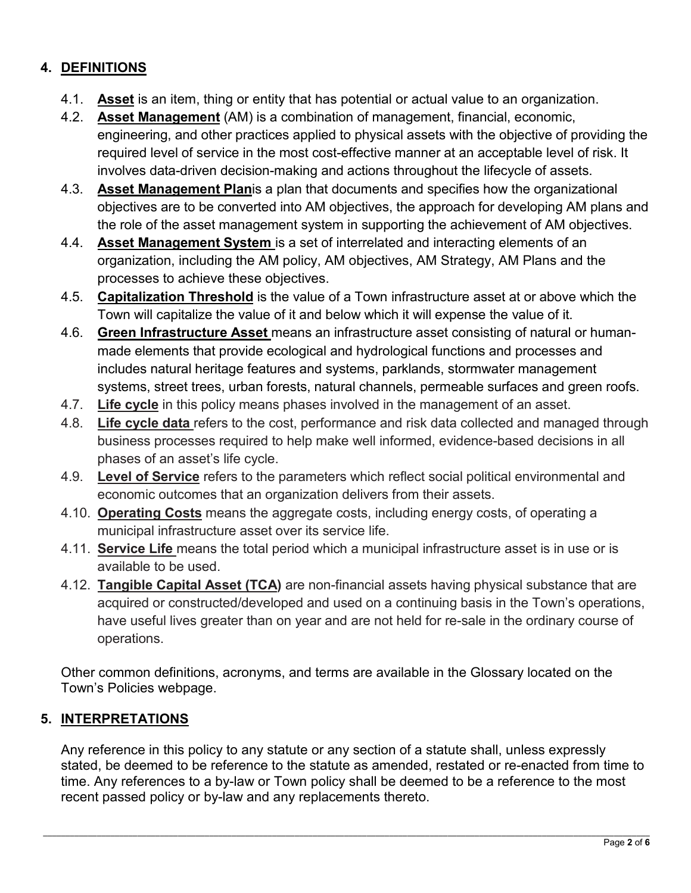# **4. DEFINITIONS**

- 4.1. **Asset** is an item, thing or entity that has potential or actual value to an organization.
- 4.2. **Asset Management** (AM) is a combination of management, financial, economic, engineering, and other practices applied to physical assets with the objective of providing the required level of service in the most cost-effective manner at an acceptable level of risk. It involves data-driven decision-making and actions throughout the lifecycle of assets.
- 4.3. **Asset Management Plan**is a plan that documents and specifies how the organizational objectives are to be converted into AM objectives, the approach for developing AM plans and the role of the asset management system in supporting the achievement of AM objectives.
- 4.4. **Asset Management System** is a set of interrelated and interacting elements of an organization, including the AM policy, AM objectives, AM Strategy, AM Plans and the processes to achieve these objectives.
- 4.5. **Capitalization Threshold** is the value of a Town infrastructure asset at or above which the Town will capitalize the value of it and below which it will expense the value of it.
- 4.6. **Green Infrastructure Asset** means an infrastructure asset consisting of natural or humanmade elements that provide ecological and hydrological functions and processes and includes natural heritage features and systems, parklands, stormwater management systems, street trees, urban forests, natural channels, permeable surfaces and green roofs.
- 4.7. **Life cycle** in this policy means phases involved in the management of an asset.
- 4.8. **Life cycle data** refers to the cost, performance and risk data collected and managed through business processes required to help make well informed, evidence-based decisions in all phases of an asset's life cycle.
- 4.9. **Level of Service** refers to the parameters which reflect social political environmental and economic outcomes that an organization delivers from their assets.
- 4.10. **Operating Costs** means the aggregate costs, including energy costs, of operating a municipal infrastructure asset over its service life.
- 4.11. **Service Life** means the total period which a municipal infrastructure asset is in use or is available to be used.
- 4.12. **Tangible Capital Asset (TCA)** are non-financial assets having physical substance that are acquired or constructed/developed and used on a continuing basis in the Town's operations, have useful lives greater than on year and are not held for re-sale in the ordinary course of operations.

Other common definitions, acronyms, and terms are available in the Glossary located on the Town's Policies webpage.

# **5. INTERPRETATIONS**

Any reference in this policy to any statute or any section of a statute shall, unless expressly stated, be deemed to be reference to the statute as amended, restated or re-enacted from time to time. Any references to a by-law or Town policy shall be deemed to be a reference to the most recent passed policy or by-law and any replacements thereto.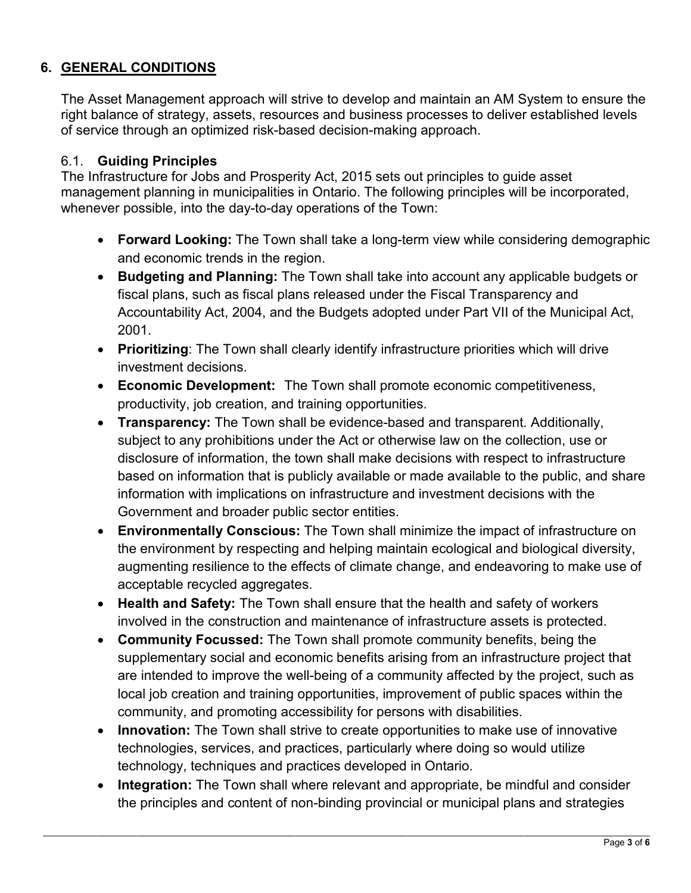# **6. GENERAL CONDITIONS**

The Asset Management approach will strive to develop and maintain an AM System to ensure the right balance of strategy, assets, resources and business processes to deliver established levels of service through an optimized risk-based decision-making approach.

#### 6.1. **Guiding Principles**

The Infrastructure for Jobs and Prosperity Act, 2015 sets out principles to guide asset management planning in municipalities in Ontario. The following principles will be incorporated, whenever possible, into the day-to-day operations of the Town:

- **Forward Looking:** The Town shall take a long-term view while considering demographic and economic trends in the region.
- **Budgeting and Planning:** The Town shall take into account any applicable budgets or fiscal plans, such as fiscal plans released under the Fiscal Transparency and Accountability Act, 2004, and the Budgets adopted under Part VII of the Municipal Act, 2001.
- **Prioritizing**: The Town shall clearly identify infrastructure priorities which will drive investment decisions.
- **Economic Development:** The Town shall promote economic competitiveness, productivity, job creation, and training opportunities.
- **Transparency:** The Town shall be evidence-based and transparent. Additionally, subject to any prohibitions under the Act or otherwise law on the collection, use or disclosure of information, the town shall make decisions with respect to infrastructure based on information that is publicly available or made available to the public, and share information with implications on infrastructure and investment decisions with the Government and broader public sector entities.
- **Environmentally Conscious:** The Town shall minimize the impact of infrastructure on the environment by respecting and helping maintain ecological and biological diversity, augmenting resilience to the effects of climate change, and endeavoring to make use of acceptable recycled aggregates.
- **Health and Safety:** The Town shall ensure that the health and safety of workers involved in the construction and maintenance of infrastructure assets is protected.
- **Community Focussed:** The Town shall promote community benefits, being the supplementary social and economic benefits arising from an infrastructure project that are intended to improve the well-being of a community affected by the project, such as local job creation and training opportunities, improvement of public spaces within the community, and promoting accessibility for persons with disabilities.
- **Innovation:** The Town shall strive to create opportunities to make use of innovative technologies, services, and practices, particularly where doing so would utilize technology, techniques and practices developed in Ontario.
- **Integration:** The Town shall where relevant and appropriate, be mindful and consider the principles and content of non-binding provincial or municipal plans and strategies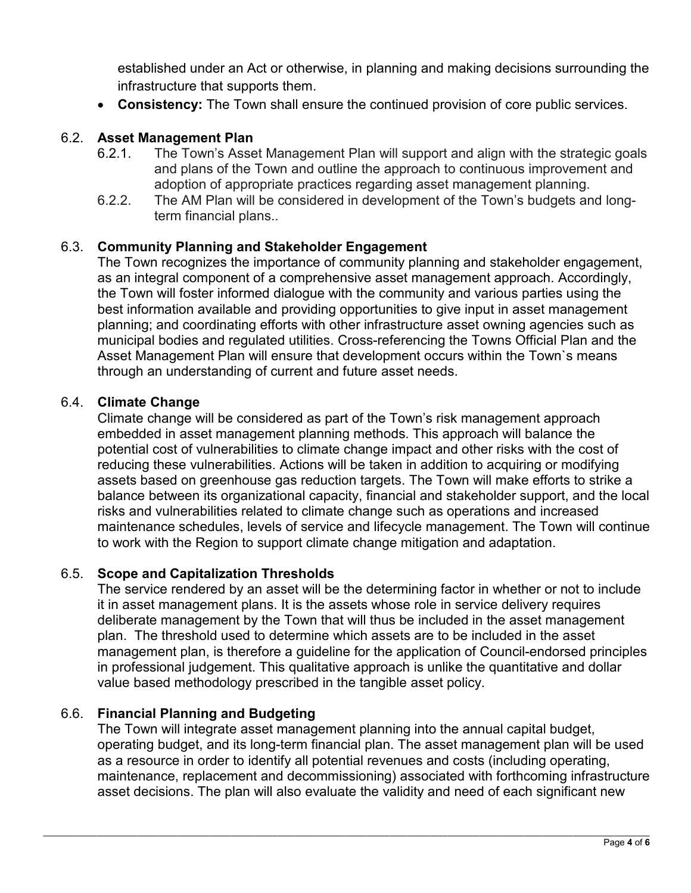established under an Act or otherwise, in planning and making decisions surrounding the infrastructure that supports them.

• **Consistency:** The Town shall ensure the continued provision of core public services.

### 6.2. **Asset Management Plan**

- 6.2.1. The Town's Asset Management Plan will support and align with the strategic goals and plans of the Town and outline the approach to continuous improvement and adoption of appropriate practices regarding asset management planning.
- 6.2.2. The AM Plan will be considered in development of the Town's budgets and longterm financial plans..

#### 6.3. **Community Planning and Stakeholder Engagement**

The Town recognizes the importance of community planning and stakeholder engagement, as an integral component of a comprehensive asset management approach. Accordingly, the Town will foster informed dialogue with the community and various parties using the best information available and providing opportunities to give input in asset management planning; and coordinating efforts with other infrastructure asset owning agencies such as municipal bodies and regulated utilities. Cross-referencing the Towns Official Plan and the Asset Management Plan will ensure that development occurs within the Town`s means through an understanding of current and future asset needs.

#### 6.4. **Climate Change**

Climate change will be considered as part of the Town's risk management approach embedded in asset management planning methods. This approach will balance the potential cost of vulnerabilities to climate change impact and other risks with the cost of reducing these vulnerabilities. Actions will be taken in addition to acquiring or modifying assets based on greenhouse gas reduction targets. The Town will make efforts to strike a balance between its organizational capacity, financial and stakeholder support, and the local risks and vulnerabilities related to climate change such as operations and increased maintenance schedules, levels of service and lifecycle management. The Town will continue to work with the Region to support climate change mitigation and adaptation.

## 6.5. **Scope and Capitalization Thresholds**

The service rendered by an asset will be the determining factor in whether or not to include it in asset management plans. It is the assets whose role in service delivery requires deliberate management by the Town that will thus be included in the asset management plan. The threshold used to determine which assets are to be included in the asset management plan, is therefore a guideline for the application of Council-endorsed principles in professional judgement. This qualitative approach is unlike the quantitative and dollar value based methodology prescribed in the tangible asset policy.

## 6.6. **Financial Planning and Budgeting**

The Town will integrate asset management planning into the annual capital budget, operating budget, and its long-term financial plan. The asset management plan will be used as a resource in order to identify all potential revenues and costs (including operating, maintenance, replacement and decommissioning) associated with forthcoming infrastructure asset decisions. The plan will also evaluate the validity and need of each significant new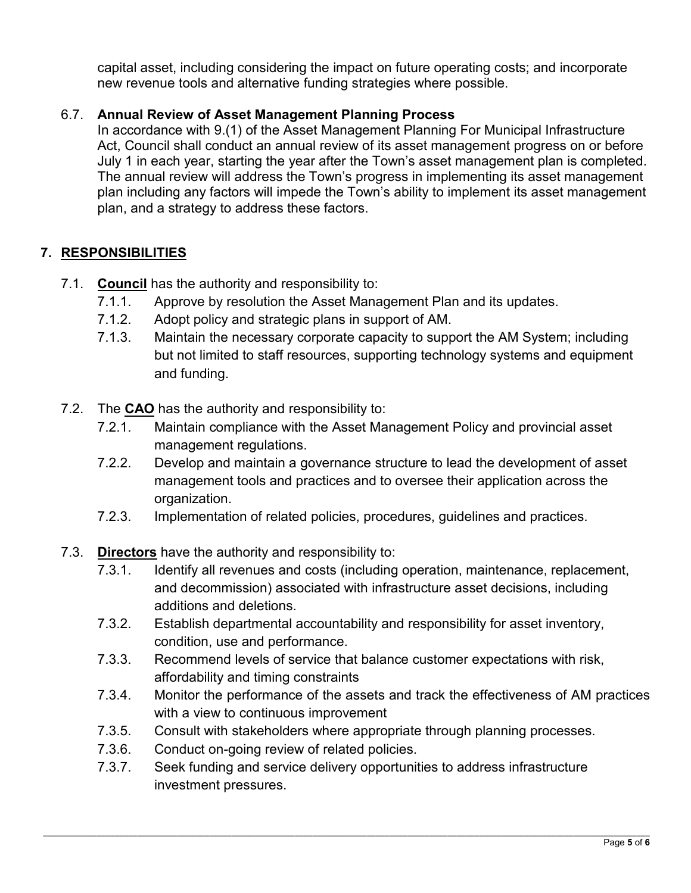capital asset, including considering the impact on future operating costs; and incorporate new revenue tools and alternative funding strategies where possible.

## 6.7. **Annual Review of Asset Management Planning Process**

In accordance with 9.(1) of the Asset Management Planning For Municipal Infrastructure Act, Council shall conduct an annual review of its asset management progress on or before July 1 in each year, starting the year after the Town's asset management plan is completed. The annual review will address the Town's progress in implementing its asset management plan including any factors will impede the Town's ability to implement its asset management plan, and a strategy to address these factors.

## **7. RESPONSIBILITIES**

- 7.1. **Council** has the authority and responsibility to:
	- 7.1.1. Approve by resolution the Asset Management Plan and its updates.
	- 7.1.2. Adopt policy and strategic plans in support of AM.
	- 7.1.3. Maintain the necessary corporate capacity to support the AM System; including but not limited to staff resources, supporting technology systems and equipment and funding.
- 7.2. The **CAO** has the authority and responsibility to:
	- 7.2.1. Maintain compliance with the Asset Management Policy and provincial asset management regulations.
	- 7.2.2. Develop and maintain a governance structure to lead the development of asset management tools and practices and to oversee their application across the organization.
	- 7.2.3. Implementation of related policies, procedures, guidelines and practices.
- 7.3. **Directors** have the authority and responsibility to:
	- 7.3.1. Identify all revenues and costs (including operation, maintenance, replacement, and decommission) associated with infrastructure asset decisions, including additions and deletions.
	- 7.3.2. Establish departmental accountability and responsibility for asset inventory, condition, use and performance.
	- 7.3.3. Recommend levels of service that balance customer expectations with risk, affordability and timing constraints
	- 7.3.4. Monitor the performance of the assets and track the effectiveness of AM practices with a view to continuous improvement
	- 7.3.5. Consult with stakeholders where appropriate through planning processes.
	- 7.3.6. Conduct on-going review of related policies.
	- 7.3.7. Seek funding and service delivery opportunities to address infrastructure investment pressures.